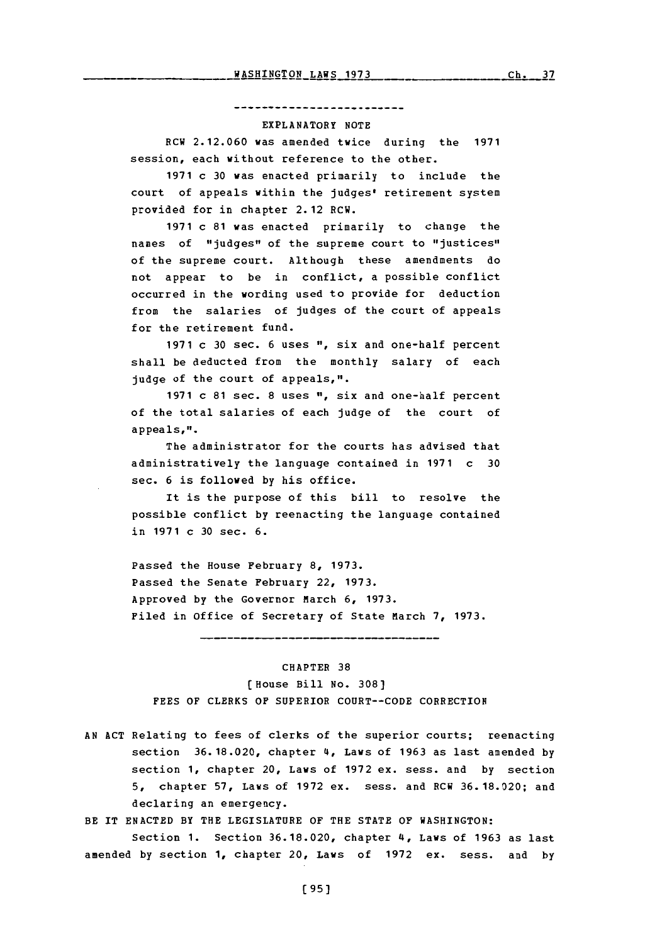#### --------------------------

### EXPLANATORY **NOTE**

RCW **2.12.060** was amended twice during the **1971** session, each without reference to the other.

**1971** c **30** was enacted primarily to include the court of appeals within the judges' retirement system provided for in chapter 2.12 RCW.

**1971** c **81** was enacted primarily to change the names of "judges" of the supreme court to "justices" of the supreme court. Although these amendments do not appear to be in conflict, a possible conflict occurred in the wording used to provide for deduction from the salaries of judges of the court of appeals for the retirement fund.

**1971** c **30** sec. **6** uses **"1,** six and one-half percent shall be deducted from the monthly salary of each judge of the court of appeals,".

**1971** c **81** sec. **8** uses **"1,** six and one-half percent of the total salaries of each judge of the court of appeals,".

The administrator for the courts has advised that administratively the language contained in **1971** c **30** sec. **6** is followed **by** his office.

It is the purpose of this bill to resolve the possible conflict **by** reenacting the language contained in **1971** c **30** sec. **6.**

Passed the House February **8, 1973.** Passed the Senate February 22, **1973.** Approved by the Governor March 6, 1973. Filed in Office of Secretary of State March **7, 1973.**

CHAPTER **38**

------------------------------------

(House Bill No. **308) FEES** OF CLERKS OF SUPERIOR **COURT--CODE** CORRECTION

**AN ACT** Relating to fees of clerks of the superior courts; reenacting section **36.18.020,** chapter 4, Laws of **1963** as last amended **by** section **1,** chapter 20, Laws of **1972** ex. sess. and **by** section **5,** chapter **57,** Laws **Of 1972** ex. sess. and RCW **36. 18.020;** and declaring an emergency.

BE IT **ENACTED** BY THE LEGISLATURE OF THE **STATE** OF WASHINGTON:

Section **1.** Section **36.18.020,** chapter 4, Laws of **1963** as last amended **by** section **1,** chapter 20, Laws of **1972** ex. sess. and **by**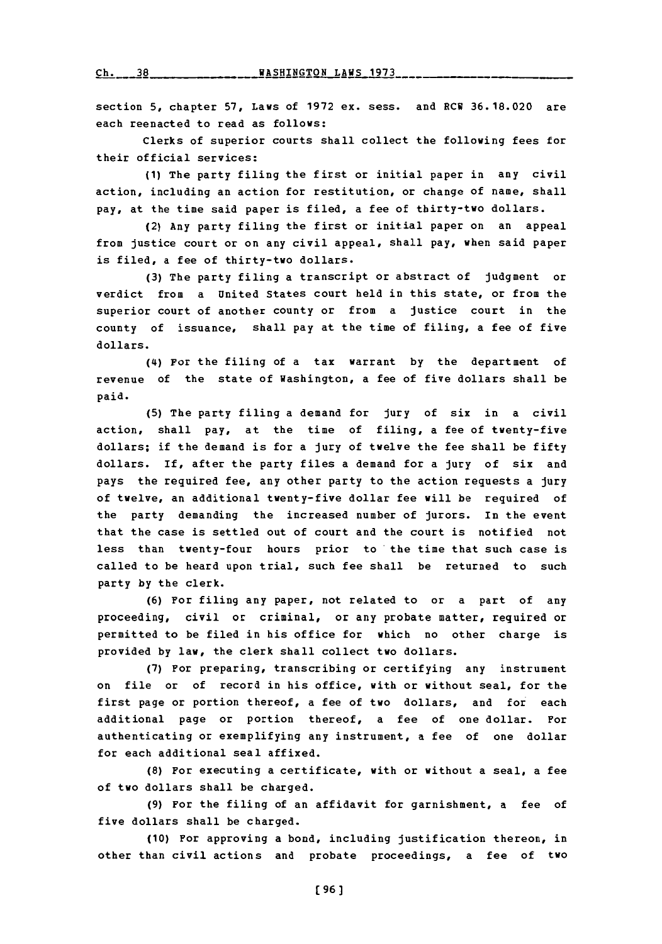section **5,** chapter **57,** Laws of **1972** ex. sess. and RCW **36.18.020** are each reenacted to read as follows:

Clerks of superior courts shall collect the following fees for their official services:

**(1)** The party filing the first or initial paper in any civil action, including an action for restitution, or change of name, shall pay, at the time said paper is filed, a fee of thirty-two dollars.

(2) Any party filing the first or initial paper on an appeal from justice court or on any civil appeal, shall pay, when said paper is filed, a fee of thirty-two dollars.

**(3)** The party filing a transcript or abstract of judgment or verdict from a United States court held in this state, or from the superior court of another county or from a justice court in the county of issuance, shall pay at the time of filing, a fee of five dollars.

**(14)** For the filing of a tax warrant **by** the department of revenue of the state of Washington, a fee of five dollars shall be paid.

**(5)** The party filing a demand for jury of six in a civil action, shall pay, at the time of filing, a fee of twenty-five dollars; if the demand is for a jury of twelve the fee shall be fifty dollars. If, after the party files a demand for a jury of six and pays the required fee, any other party to the action requests a jury of twelve, an additional twenty-five dollar fee will be required of the party demanding the increased number of jurors. In the event that the case is settled out of court and the court is notified not less than twenty-four hours prior to the time that such case is called to be heard upon trial, such fee shall be returned to such party **by** the clerk.

**(6)** For filing any paper, not related to or a part of any proceeding, civil or criminal, or any probate matter, required or permitted to be filed in his office for which no other charge is provided **by** law, the clerk shall collect two dollars.

**(7)** For preparing, transcribing or certifying any instrument on file or of record in his office, with or without seal, for the first page or portion thereof, a fee of two dollars, and for each additional page or portion thereof, a fee of one dollar. For authenticating or exemplifying any instrument, a fee of one dollar for each additional seal affixed.

**(8)** For executing a certificate, with or without a seal, a fee of two dollars shall be charged.

**(9)** For the filing of an affidavit for garnishment, a fee of five dollars shall be charged.

**(10)** For approving a bond, including justification thereon, in other than civil actions and probate proceedings, a fee of two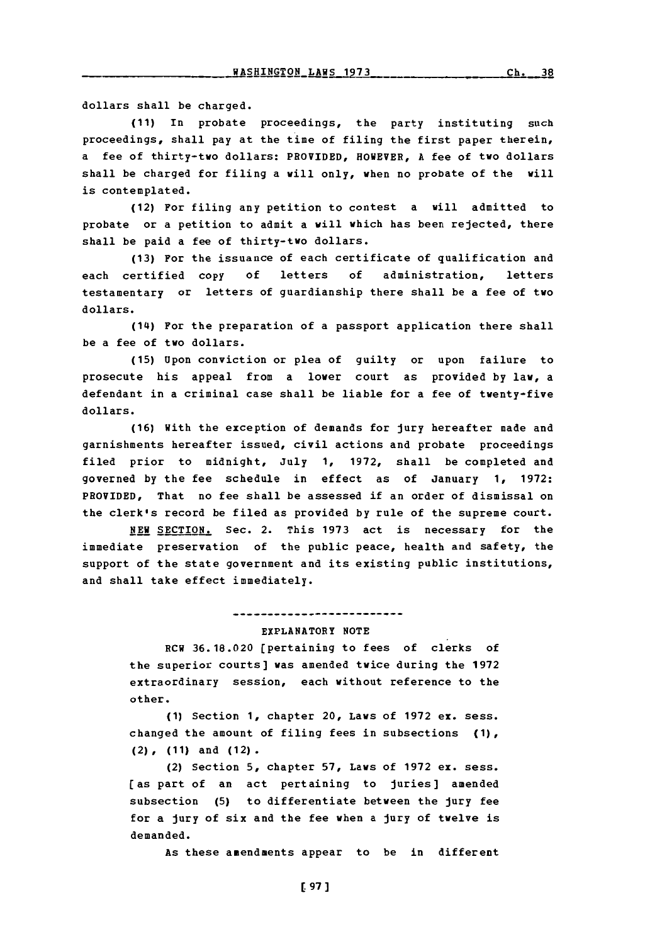dollars shall be charged.

**(11)** In probate proceedings, the party instituting such proceedings, shall pay at the time of filing the first paper therein, a fee of thirty-two dollars: PROVIDED, HOWEVER, **A** fee of tvo dollars shall be charged for filing a will only, when no probate of the will is contemplated.

(12) For filing any petition to contest a will admitted to probate or a petition to admit a will which has been rejected, there shall be paid a fee of thirty-two dollars.

**(13)** For the issuance of each certificate of qualification and each certified copy **of** letters **of** administration, letters testamentary or letters of guardianship there shall be a fee of two dollars.

(14) For the preparation of a passport application there shall be a fee of two dollars.

**(15)** Upon conviction or plea of guilty or upon failure to prosecute his appeal from a lover court as provided **by** law, a defendant in a criminal case shall be liable for a fee of twenty-five dollars.

**(16)** With the exception of demands for jury hereafter made and garnishments hereafter issued, civil actions and probate proceedings filed prior to midnight, July **1, 1972,** shall be completed and governed **by** the fee schedule in effect as of January **1, 1972:** PROVIDED, That no fee shall be assessed if an order of dismissal on the clerk's record be filed as provided **by** rule of the supreme court.

**NEW** SECTION. Sec. 2. This **1973** act is necessary for the immediate preservation of the public peace, health and safety, the support of the state government and its existing public institutions, and shall take effect immediately.

## ....................

### EXPLANATORY **NOTE**

RCV **36.18.020** [pertaining to fees of clerks of the superior courts] was amended twice during the **1972** extraordinary session, each without reference to the other.

**(1)** Section **1,** chapter 20, Laws of **1972** ex. sess. changed the amount of filing fees in subsections **(1),** (2), **(11)** and (12).

(2) Section **5,** chapter **57,** Laws of **1972 ex. sess.** [as part of an act pertaining to juries] amended subsection **(5)** to differentiate between the jury fee for a jury of six and the fee when a jury of twelve is demanded.

As these amendments appear to be in different